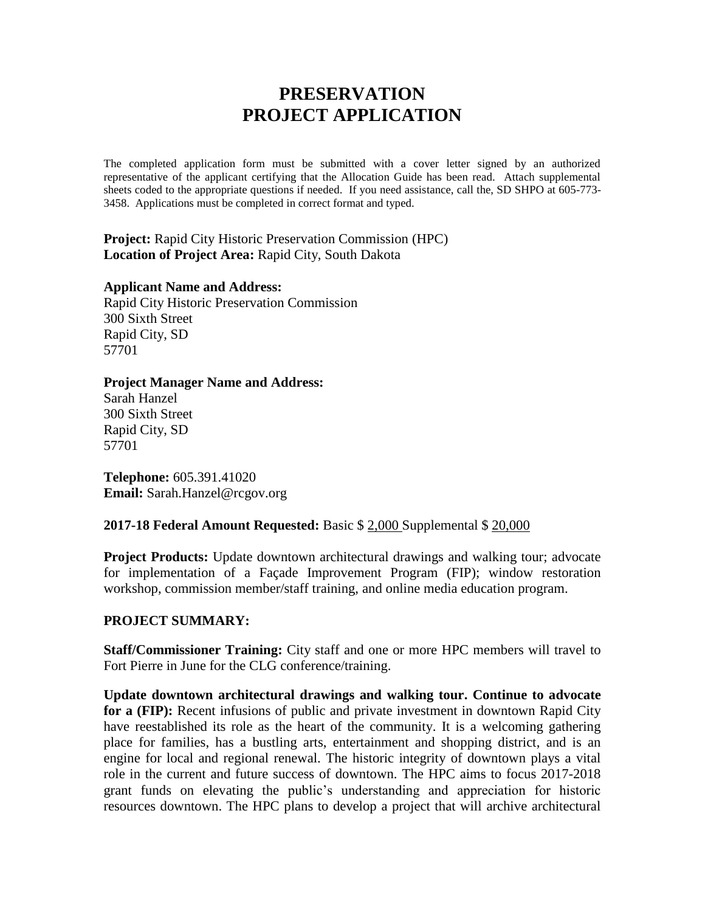## **PRESERVATION PROJECT APPLICATION**

The completed application form must be submitted with a cover letter signed by an authorized representative of the applicant certifying that the Allocation Guide has been read. Attach supplemental sheets coded to the appropriate questions if needed. If you need assistance, call the, SD SHPO at 605-773- 3458. Applications must be completed in correct format and typed.

**Project:** Rapid City Historic Preservation Commission (HPC) **Location of Project Area:** Rapid City, South Dakota

#### **Applicant Name and Address:**

Rapid City Historic Preservation Commission 300 Sixth Street Rapid City, SD 57701

## **Project Manager Name and Address:**

Sarah Hanzel 300 Sixth Street Rapid City, SD 57701

**Telephone:** 605.391.41020 **Email:** Sarah.Hanzel@rcgov.org

#### **2017-18 Federal Amount Requested:** Basic \$ 2,000 Supplemental \$ 20,000

**Project Products:** Update downtown architectural drawings and walking tour; advocate for implementation of a Façade Improvement Program (FIP); window restoration workshop, commission member/staff training, and online media education program.

## **PROJECT SUMMARY:**

**Staff/Commissioner Training:** City staff and one or more HPC members will travel to Fort Pierre in June for the CLG conference/training.

**Update downtown architectural drawings and walking tour. Continue to advocate for a (FIP):** Recent infusions of public and private investment in downtown Rapid City have reestablished its role as the heart of the community. It is a welcoming gathering place for families, has a bustling arts, entertainment and shopping district, and is an engine for local and regional renewal. The historic integrity of downtown plays a vital role in the current and future success of downtown. The HPC aims to focus 2017-2018 grant funds on elevating the public's understanding and appreciation for historic resources downtown. The HPC plans to develop a project that will archive architectural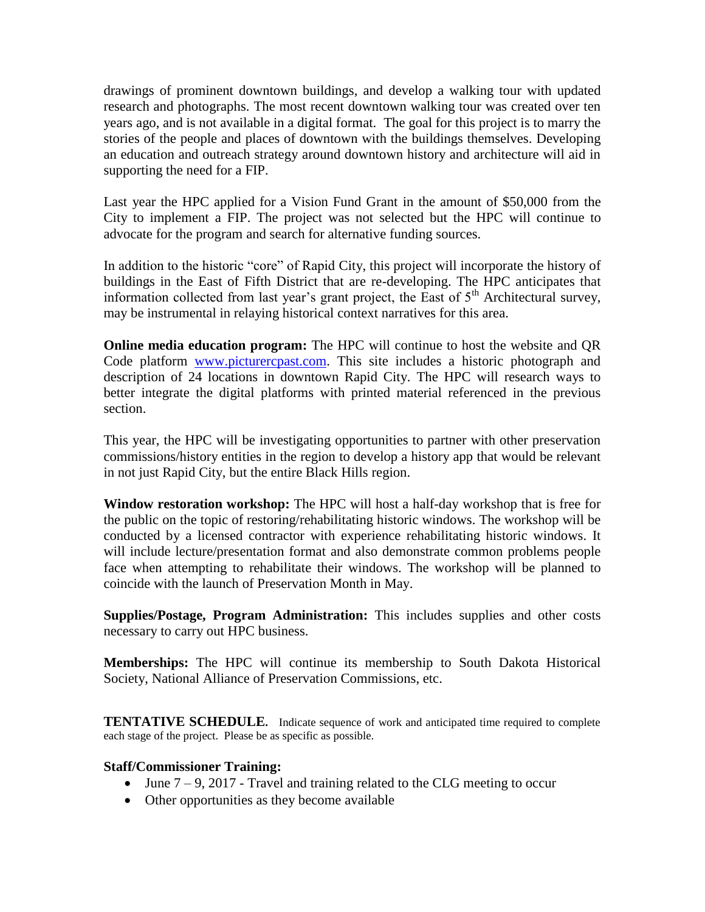drawings of prominent downtown buildings, and develop a walking tour with updated research and photographs. The most recent downtown walking tour was created over ten years ago, and is not available in a digital format. The goal for this project is to marry the stories of the people and places of downtown with the buildings themselves. Developing an education and outreach strategy around downtown history and architecture will aid in supporting the need for a FIP.

Last year the HPC applied for a Vision Fund Grant in the amount of \$50,000 from the City to implement a FIP. The project was not selected but the HPC will continue to advocate for the program and search for alternative funding sources.

In addition to the historic "core" of Rapid City, this project will incorporate the history of buildings in the East of Fifth District that are re-developing. The HPC anticipates that information collected from last year's grant project, the East of 5<sup>th</sup> Architectural survey, may be instrumental in relaying historical context narratives for this area.

**Online media education program:** The HPC will continue to host the website and QR Code platform [www.picturercpast.com.](http://www.picturercpast.com/) This site includes a historic photograph and description of 24 locations in downtown Rapid City. The HPC will research ways to better integrate the digital platforms with printed material referenced in the previous section.

This year, the HPC will be investigating opportunities to partner with other preservation commissions/history entities in the region to develop a history app that would be relevant in not just Rapid City, but the entire Black Hills region.

**Window restoration workshop:** The HPC will host a half-day workshop that is free for the public on the topic of restoring/rehabilitating historic windows. The workshop will be conducted by a licensed contractor with experience rehabilitating historic windows. It will include lecture/presentation format and also demonstrate common problems people face when attempting to rehabilitate their windows. The workshop will be planned to coincide with the launch of Preservation Month in May.

**Supplies/Postage, Program Administration:** This includes supplies and other costs necessary to carry out HPC business.

**Memberships:** The HPC will continue its membership to South Dakota Historical Society, National Alliance of Preservation Commissions, etc.

**TENTATIVE SCHEDULE.** Indicate sequence of work and anticipated time required to complete each stage of the project. Please be as specific as possible.

## **Staff/Commissioner Training:**

- June  $7 9$ , 2017 Travel and training related to the CLG meeting to occur
- Other opportunities as they become available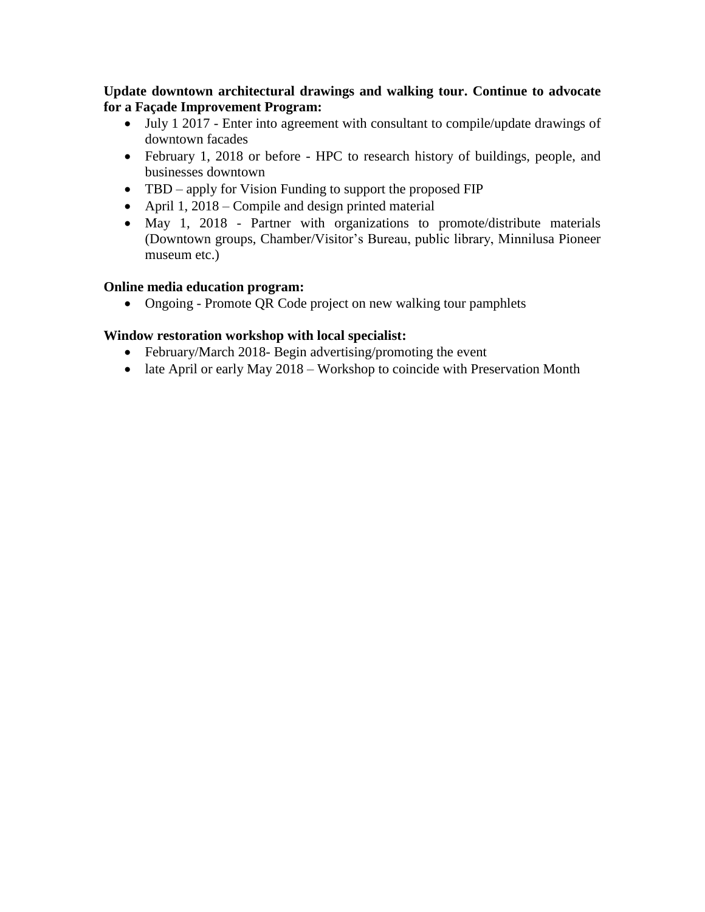**Update downtown architectural drawings and walking tour. Continue to advocate for a Façade Improvement Program:**

- July 1 2017 Enter into agreement with consultant to compile/update drawings of downtown facades
- February 1, 2018 or before HPC to research history of buildings, people, and businesses downtown
- TBD apply for Vision Funding to support the proposed FIP
- April 1, 2018 Compile and design printed material
- May 1, 2018 Partner with organizations to promote/distribute materials (Downtown groups, Chamber/Visitor's Bureau, public library, Minnilusa Pioneer museum etc.)

#### **Online media education program:**

• Ongoing - Promote QR Code project on new walking tour pamphlets

## **Window restoration workshop with local specialist:**

- February/March 2018- Begin advertising/promoting the event
- late April or early May 2018 Workshop to coincide with Preservation Month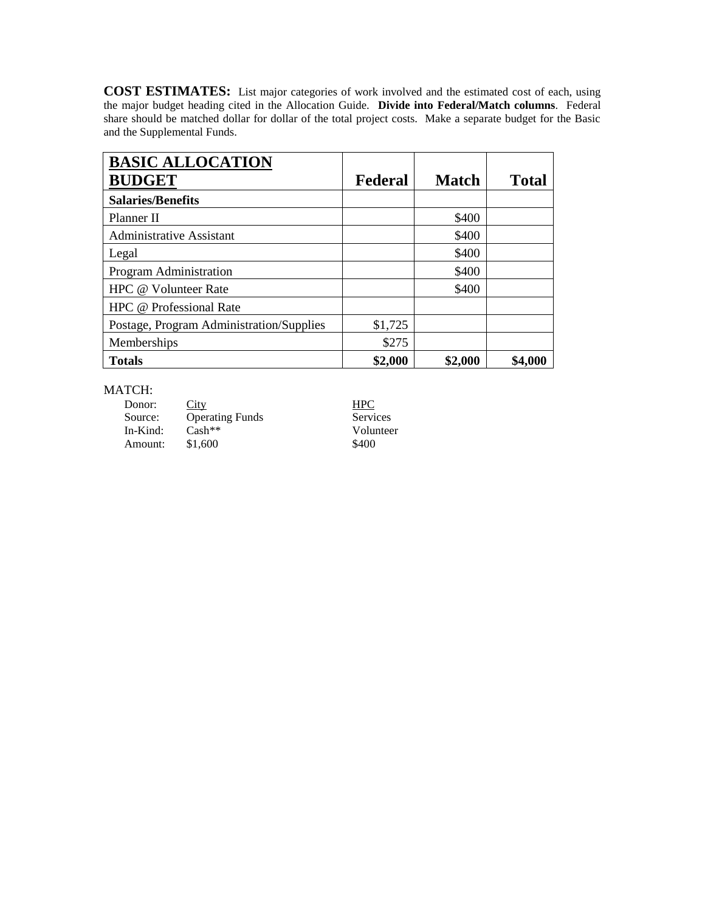**COST ESTIMATES:** List major categories of work involved and the estimated cost of each, using the major budget heading cited in the Allocation Guide. **Divide into Federal/Match columns**. Federal share should be matched dollar for dollar of the total project costs. Make a separate budget for the Basic and the Supplemental Funds.

| <b>BASIC ALLOCATION</b>                  |         |              |              |
|------------------------------------------|---------|--------------|--------------|
| <b>BUDGET</b>                            | Federal | <b>Match</b> | <b>Total</b> |
| <b>Salaries/Benefits</b>                 |         |              |              |
| Planner II                               |         | \$400        |              |
| <b>Administrative Assistant</b>          |         | \$400        |              |
| Legal                                    |         | \$400        |              |
| Program Administration                   |         | \$400        |              |
| HPC @ Volunteer Rate                     |         | \$400        |              |
| HPC @ Professional Rate                  |         |              |              |
| Postage, Program Administration/Supplies | \$1,725 |              |              |
| Memberships                              | \$275   |              |              |
| <b>Totals</b>                            | \$2,000 | \$2,000      | \$4,000      |

#### MATCH:

Donor: City HPC Source: Operating Funds Services<br>
In-Kind: Cash\*\* Voluntee In-Kind: Cash\*\* Volunteer<br>Amount: \$1,600 \$400 Amount: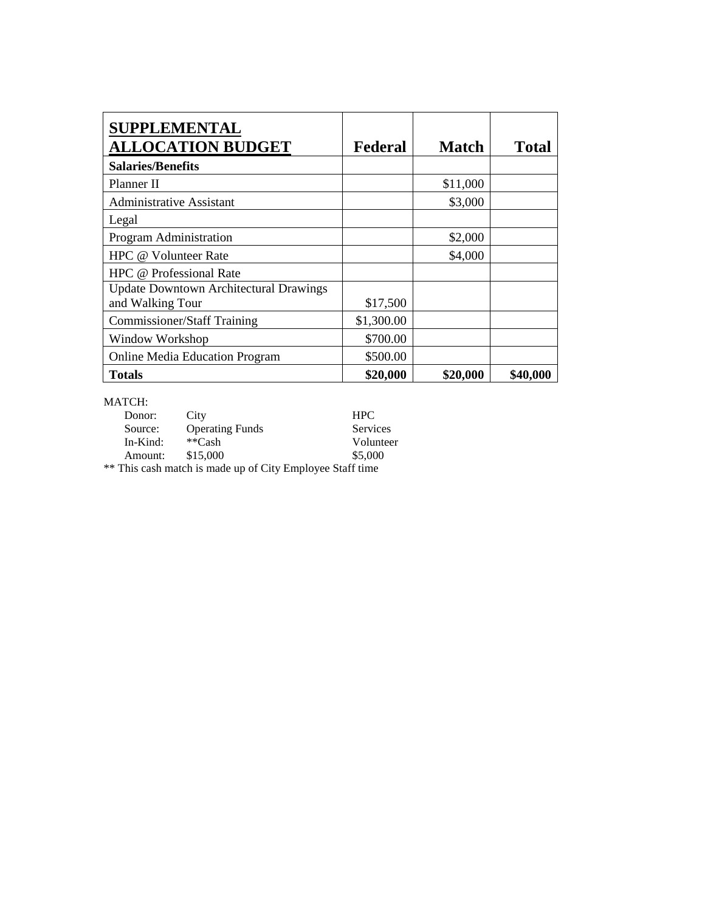| <b>SUPPLEMENTAL</b><br><b>ALLOCATION BUDGET</b>                   | Federal    | <b>Match</b> | <b>Total</b> |
|-------------------------------------------------------------------|------------|--------------|--------------|
| <b>Salaries/Benefits</b>                                          |            |              |              |
| Planner II                                                        |            | \$11,000     |              |
| <b>Administrative Assistant</b>                                   |            | \$3,000      |              |
| Legal                                                             |            |              |              |
| Program Administration                                            |            | \$2,000      |              |
| HPC @ Volunteer Rate                                              |            | \$4,000      |              |
| HPC @ Professional Rate                                           |            |              |              |
| <b>Update Downtown Architectural Drawings</b><br>and Walking Tour | \$17,500   |              |              |
| <b>Commissioner/Staff Training</b>                                | \$1,300.00 |              |              |
| Window Workshop                                                   | \$700.00   |              |              |
| <b>Online Media Education Program</b>                             | \$500.00   |              |              |
| <b>Totals</b>                                                     | \$20,000   | \$20,000     | \$40,000     |

#### MATCH:

| Donor:                                                    | City                                        | <b>HPC</b> |  |  |
|-----------------------------------------------------------|---------------------------------------------|------------|--|--|
| Source:                                                   | <b>Operating Funds</b>                      | Services   |  |  |
| $In-Kind:$                                                | $*$ <sup><math>\mathcal{C}</math></sup> ash | Volunteer  |  |  |
| Amount:                                                   | \$15,000                                    | \$5,000    |  |  |
| ** This cash match is made up of City Employee Staff time |                                             |            |  |  |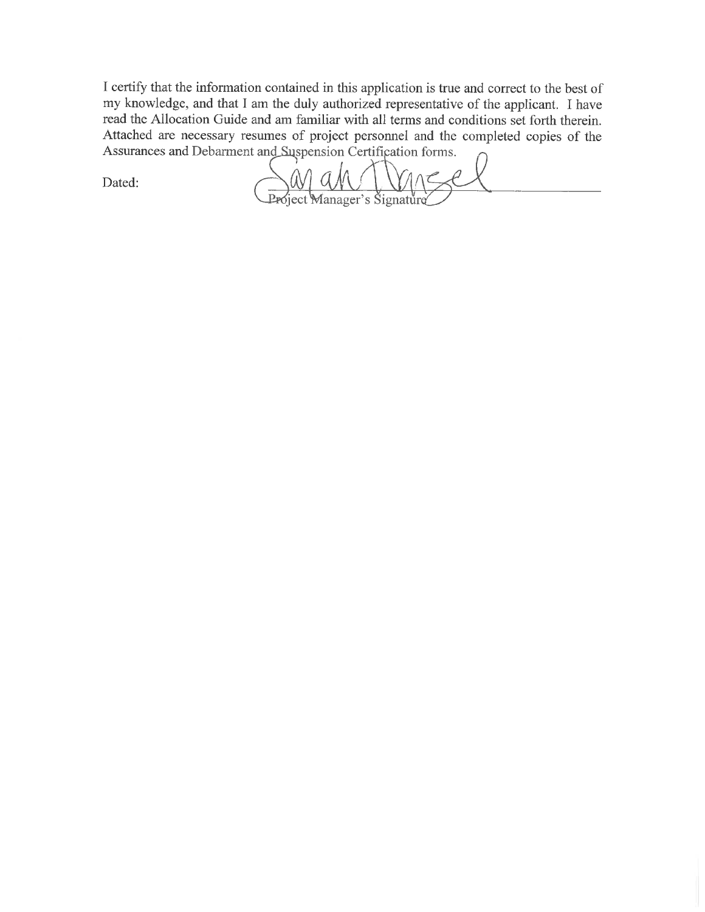I certify that the information contained in this application is true and correct to the best of my knowledge, and that I am the duly authorized representative of the applicant. I have read the Allocation Guide and am familiar with all terms and conditions set forth therein. Attached are necessary resumes of project personnel and the completed copies of the Assurances and Debarment and Suspension Certification forms.

Dated:

Project Manager's Šignature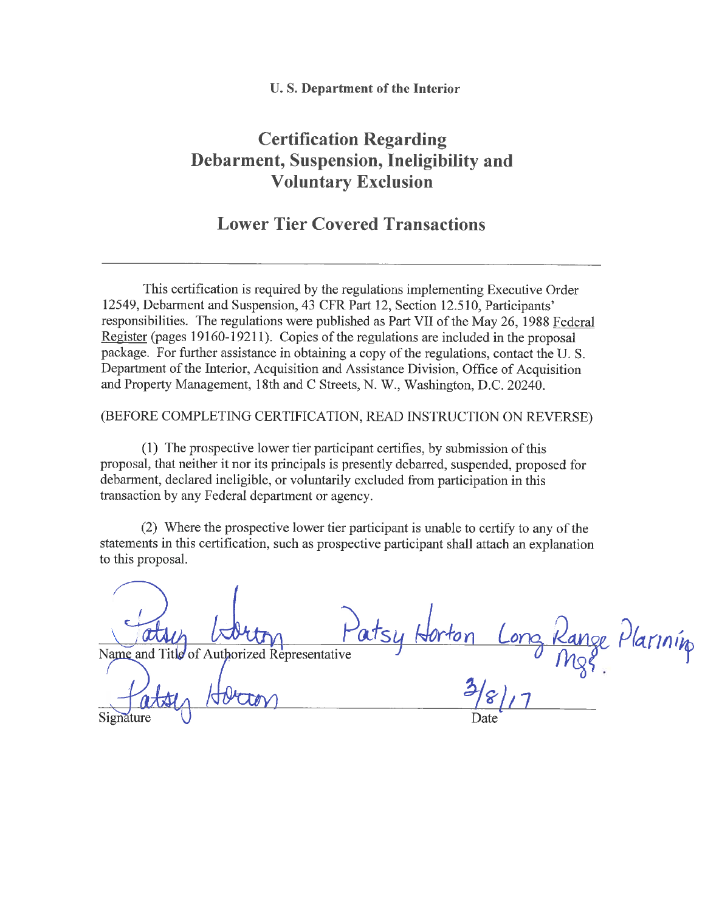#### **U.S. Department of the Interior**

# **Certification Regarding** Debarment, Suspension, Ineligibility and **Voluntary Exclusion**

## **Lower Tier Covered Transactions**

This certification is required by the regulations implementing Executive Order 12549, Debarment and Suspension, 43 CFR Part 12, Section 12.510, Participants' responsibilities. The regulations were published as Part VII of the May 26, 1988 Federal Register (pages 19160-19211). Copies of the regulations are included in the proposal package. For further assistance in obtaining a copy of the regulations, contact the U.S. Department of the Interior, Acquisition and Assistance Division, Office of Acquisition and Property Management, 18th and C Streets, N. W., Washington, D.C. 20240.

(BEFORE COMPLETING CERTIFICATION, READ INSTRUCTION ON REVERSE)

(1) The prospective lower tier participant certifies, by submission of this proposal, that neither it nor its principals is presently debarred, suspended, proposed for debarment, declared ineligible, or voluntarily excluded from participation in this transaction by any Federal department or agency.

(2) Where the prospective lower tier participant is unable to certify to any of the statements in this certification, such as prospective participant shall attach an explanation to this proposal.

forton Name and Title of Authorized Representative